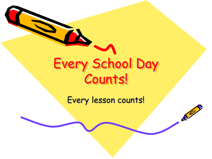

Every lesson counts!

 $\mathbb{Z}^{\prime\prime}$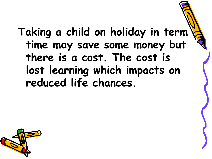**Taking a child on holiday in term time may save some money but there is a cost. The cost is lost learning which impacts on reduced life chances.**

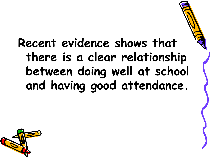## **Recent evidence shows that there is a clear relationship between doing well at school and having good attendance.**

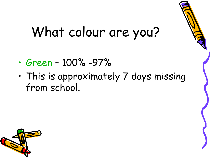## What colour are you?

- Green 100% -97%
- This is approximately 7 days missing from school.

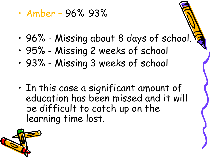• Amber – 96%-93%

- 96% Missing about 8 days of school.
- 95% Missing 2 weeks of school
- 93% Missing 3 weeks of school
- In this case a significant amount of education has been missed and it will be difficult to catch up on the learning time lost.

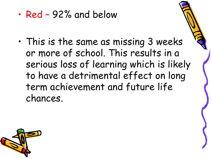• Red – 92% and below

• This is the same as missing 3 weeks or more of school. This results in a serious loss of learning which is likely to have a detrimental effect on long term achievement and future life chances.